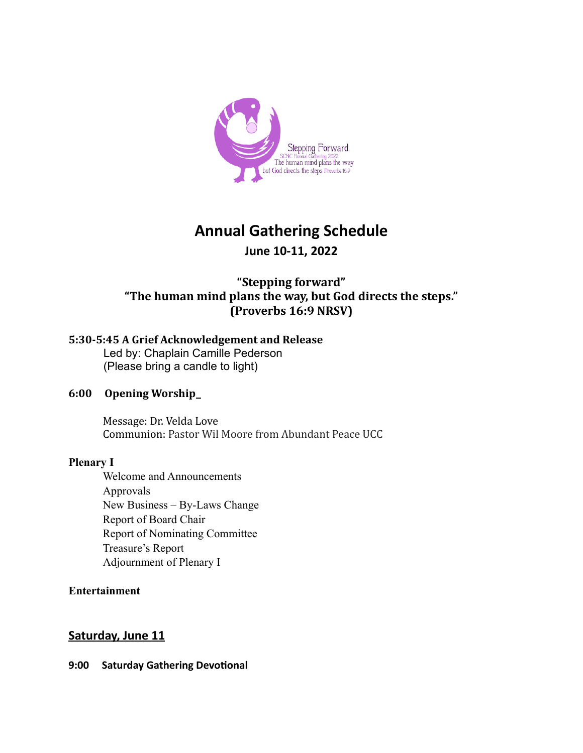

# **Annual Gathering Schedule**

# **June 10-11, 2022**

# **"Stepping forward"** "The human mind plans the way, but God directs the steps." **(Proverbs 16:9 NRSV)**

## **5:30-5:45 A Grief Acknowledgement and Release**

 Led by: Chaplain Camille Pederson (Please bring a candle to light)

## **6:00** Opening Worship\_

Message: Dr. Velda Love Communion: Pastor Wil Moore from Abundant Peace UCC

#### **Plenary I**

Welcome and Announcements Approvals New Business – By-Laws Change Report of Board Chair Report of Nominating Committee Treasure's Report Adjournment of Plenary I

#### **Entertainment**

## **Saturday, June 11**

#### **9:00 Saturday Gathering Devotional**